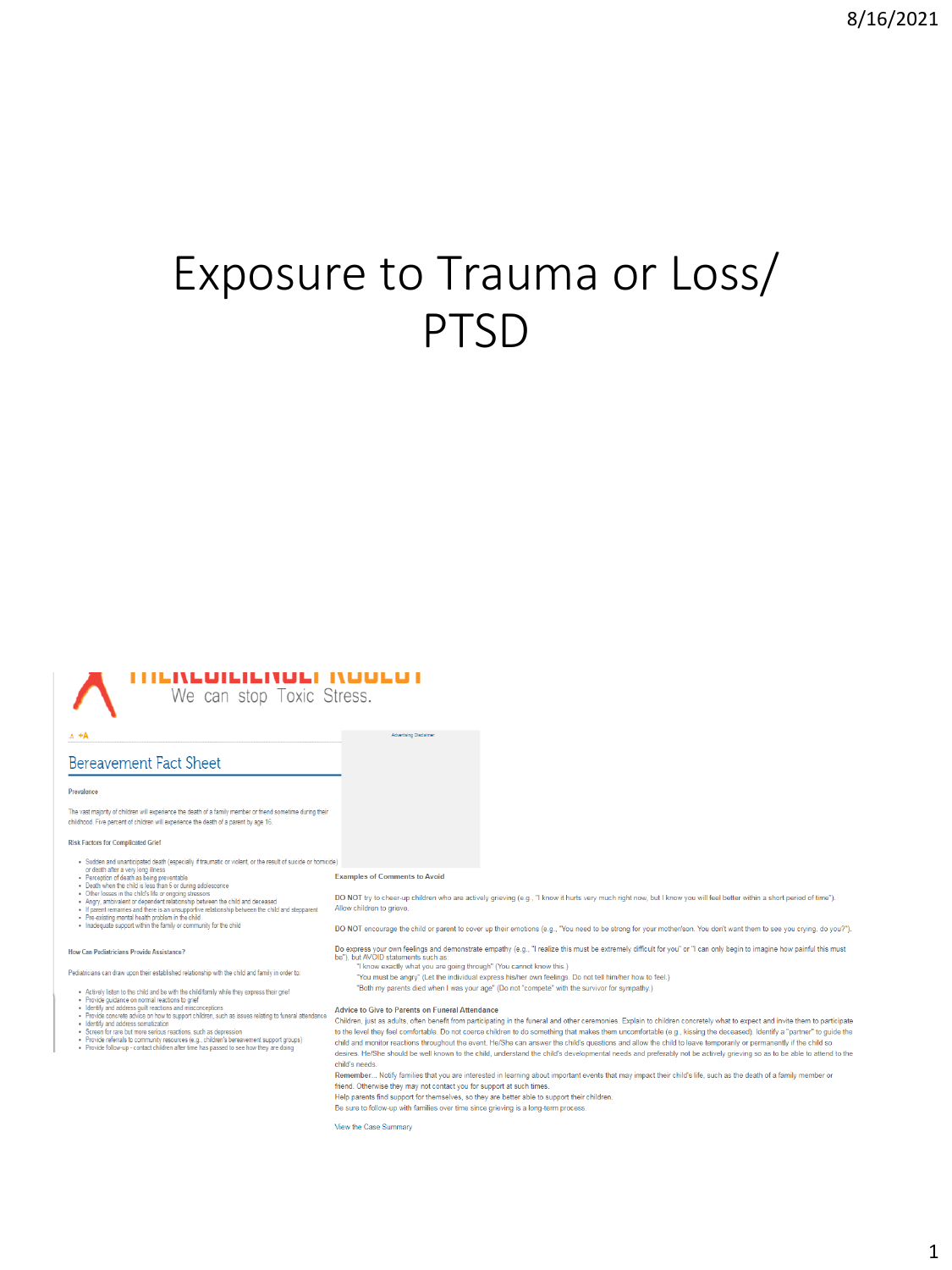# Exposure to Trauma or Loss/ PTSD

### **THENEDICIENDEL NOOCOT**

We can stop Toxic Stress.

#### $A + A$

### **Bereavement Fact Sheet**

#### Prevalence

.<br>The vast majority of children will experience the death of a family member or friend sometime during their childhood. Five percent of children will experience the death of a parent by age 16.

#### Risk Factors for Complicated Grief

- Sudden and unanticipated death (especially if traumatic or violent, or the result of suicide or homicide)
- 

- 
- Sudden and unanticpated death (especially if traumatic or violent, or the result of suicide or home or death after a very long illness<br>• Perception of death as being preventable<br>• Denet best in so being the company despe
- 

How Can Pediatricians Provide Assistance?

#### Pediatricians can draw upon their established relationship with the child and family in order to:

- 
- 

- 
- 
- 
- 
- Actively listen to the child and be with the child/family while they express their grief<br>- Provide guidance on normal reactions to grief<br>- Identify and address guilt reactions and misconceptions<br>- Revise concrete a able

#### **Examples of Comments to Avoid**

Advertising Disclaimer

DO NOT try to cheer-up children who are actively grieving (e.g., "I know it hurts very much right now, but I know you will feel better within a short period of time"). Allow children to grieve.

DO NOT encourage the child or parent to cover up their emotions (e.g., "You need to be strong for your mother/son, You don't want them to see you crying, do you?")

- Do express your own feelings and demonstrate empathy (e.g., "I realize this must be extremely difficult for you" or "I can only begin to imagine how painful this must<br>be"), but AO(ID statements such as:<br>"I know exactly wha
	-
	- "You must be angry" (Let the individual express his/her own feelings. Do not tell him/her how to feel.)
	- "Both my parents died when I was your age" (Do not "compete" with the survivor for sympathy.)

#### Advice to Give to Parents on Funeral Attendance

Children, just as adults, often benefit from participating in the funeral and other ceremonies. Explain to children concretely what to expect and invite them to participate to the level they feel comfortable. Do not coerce children to do something that makes them uncomfortable (e.g., kissing the deceased). Identify a "partner" to guide the<br>child and monitor reactions throughout the event. He/ desires. He/She should be well known to the child, understand the child's developmental needs and preferably not be actively grieving so as to be able to attend to the child's needs.

Remember... Notify families that you are interested in learning about important events that may impact their child's life, such as the death of a family member or friend. Otherwise they may not contact you for support at such times.

Help parents find support for themselves, so they are better able to support their children

Be sure to follow-up with families over time since grieving is a long-term process

#### View the Case Summary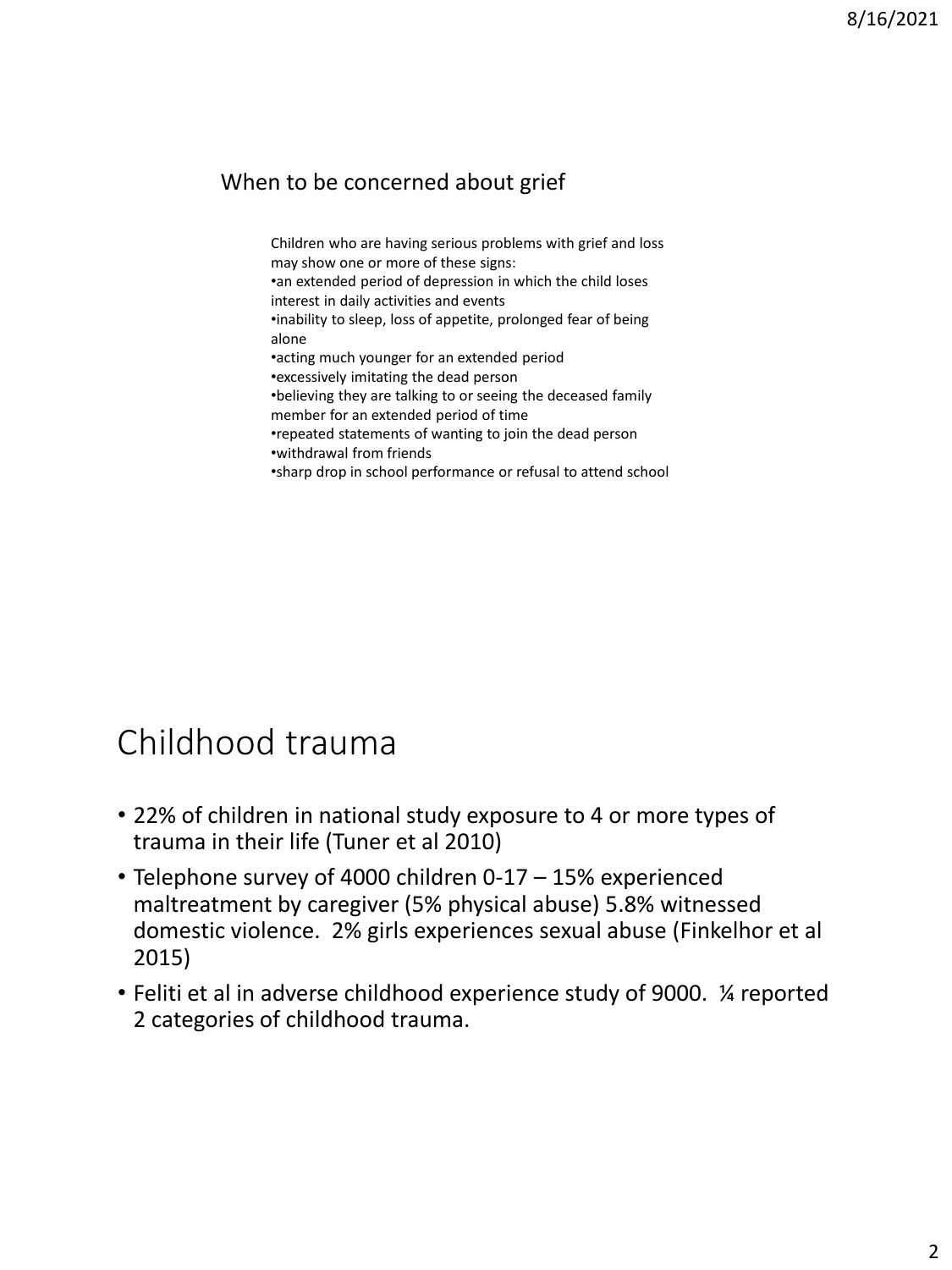### When to be concerned about grief

Children who are having serious problems with grief and loss may show one or more of these signs: •an extended period of depression in which the child loses interest in daily activities and events

•inability to sleep, loss of appetite, prolonged fear of being alone

•acting much younger for an extended period

•excessively imitating the dead person

•believing they are talking to or seeing the deceased family member for an extended period of time

•repeated statements of wanting to join the dead person •withdrawal from friends

•sharp drop in school performance or refusal to attend school

### Childhood trauma

- 22% of children in national study exposure to 4 or more types of trauma in their life (Tuner et al 2010)
- Telephone survey of 4000 children 0-17 15% experienced maltreatment by caregiver (5% physical abuse) 5.8% witnessed domestic violence. 2% girls experiences sexual abuse (Finkelhor et al 2015)
- Feliti et al in adverse childhood experience study of 9000. ¼ reported 2 categories of childhood trauma.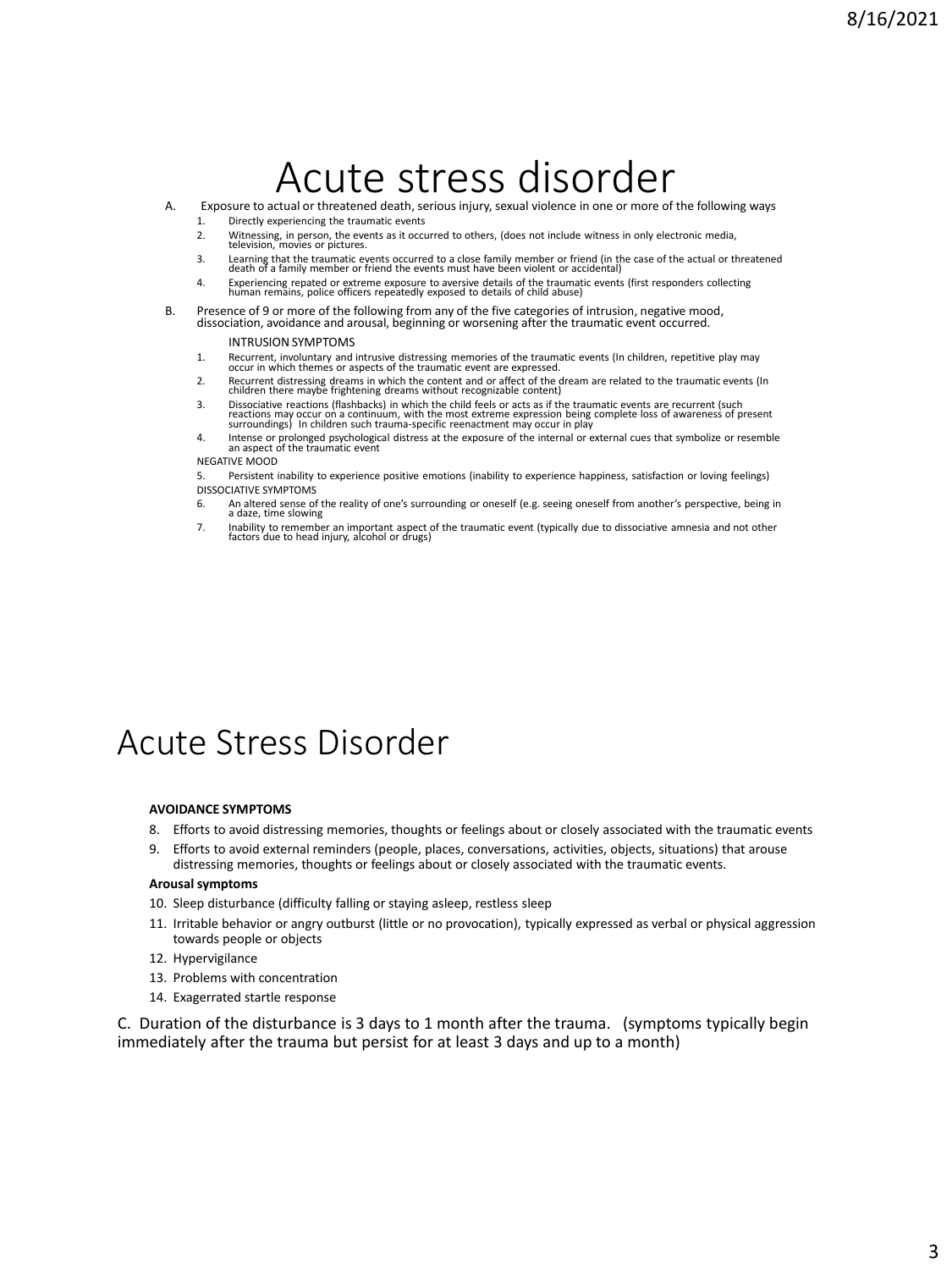# Acute stress disorder

- A. Exposure to actual or threatened death, serious injury, sexual violence in one or more of the following ways 1. Directly experiencing the traumatic events
	- - 2. Witnessing, in person, the events as it occurred to others, (does not include witness in only electronic media, television, movies or pictures.
		- 3. Learning that the traumatic events occurred to a close family member or friend (in the case of the actual or threatened death of a family member or friend the events must have been violent or accidental)
		- 4. Experiencing repated or extreme exposure to aversive details of the traumatic events (first responders collecting human remains, police officers repeatedly exposed to details of child abuse)
- B. Presence of 9 or more of the following from any of the five categories of intrusion, negative mood, dissociation, avoidance and arousal, beginning or worsening after the traumatic event occurred.

#### INTRUSION SYMPTOMS

- 1. Recurrent, involuntary and intrusive distressing memories of the traumatic events (In children, repetitive play may occur in which themes or aspects of the traumatic event are expressed.
- 2. Recurrent distressing dreams in which the content and or affect of the dream are related to the traumatic events (In children there maybe frightening dreams without recognizable content)
- 3. Dissociative reactions (flashbacks) in which the child feels or acts as if the traumatic events are recurrent (such<br>reactions may occur on a continuum, with the most extreme expression being complete loss of awareness o
- 4. Intense or prolonged psychological distress at the exposure of the internal or external cues that symbolize or resemble an aspect of the traumatic event

#### NEGATIVE MOOD

5. Persistent inability to experience positive emotions (inability to experience happiness, satisfaction or loving feelings) DISSOCIATIVE SYMPTOMS

- 6. An altered sense of the reality of one's surrounding or oneself (e.g. seeing oneself from another's perspective, being in a daze, time slowing
- 7. Inability to remember an important aspect of the traumatic event (typically due to dissociative amnesia and not other factors due to head injury, alcohol or drugs)

### Acute Stress Disorder

#### **AVOIDANCE SYMPTOMS**

- 8. Efforts to avoid distressing memories, thoughts or feelings about or closely associated with the traumatic events
- 9. Efforts to avoid external reminders (people, places, conversations, activities, objects, situations) that arouse distressing memories, thoughts or feelings about or closely associated with the traumatic events.

#### **Arousal symptoms**

- 10. Sleep disturbance (difficulty falling or staying asleep, restless sleep
- 11. Irritable behavior or angry outburst (little or no provocation), typically expressed as verbal or physical aggression towards people or objects
- 12. Hypervigilance
- 13. Problems with concentration
- 14. Exagerrated startle response

C. Duration of the disturbance is 3 days to 1 month after the trauma. (symptoms typically begin immediately after the trauma but persist for at least 3 days and up to a month)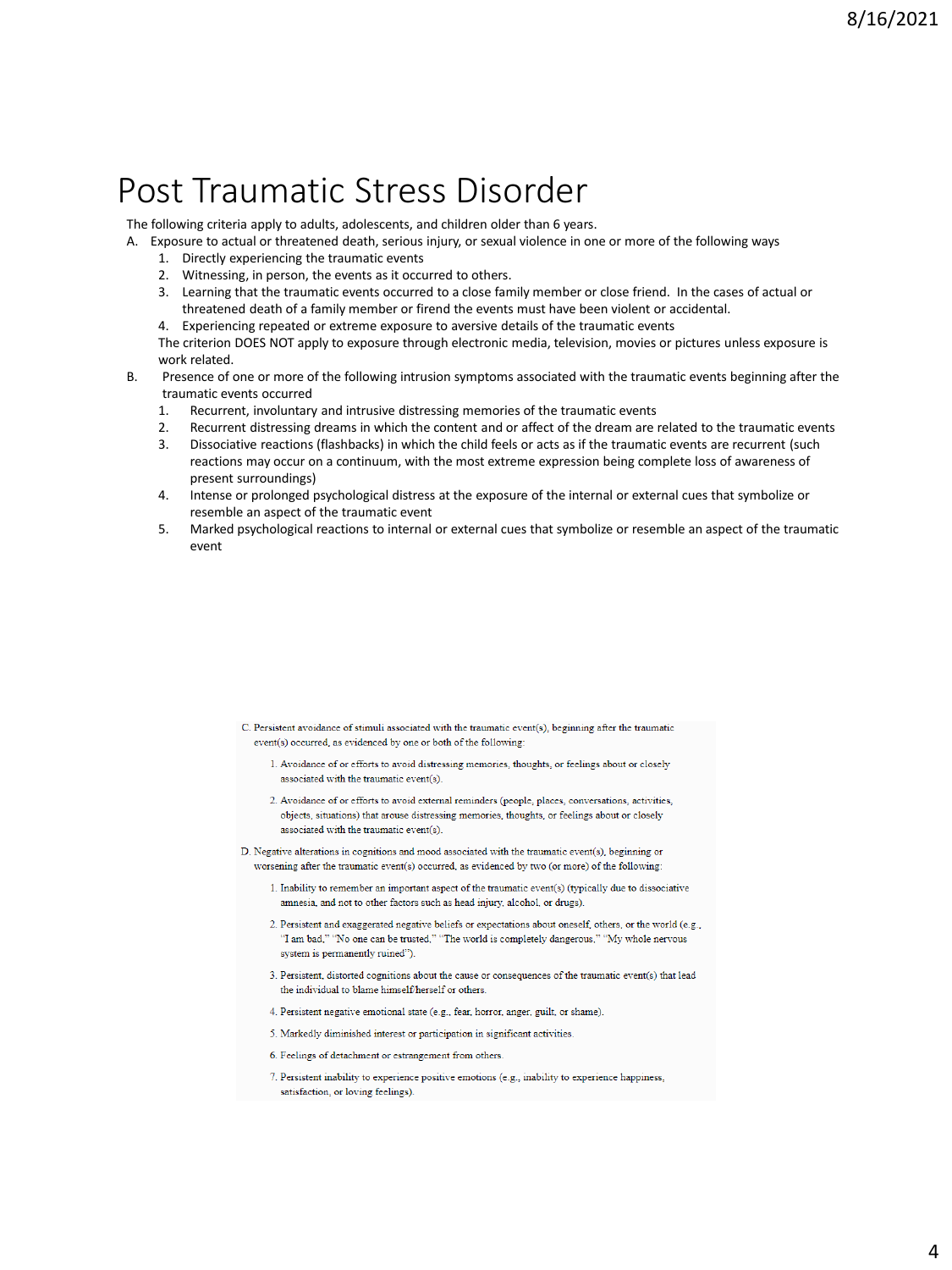### Post Traumatic Stress Disorder

The following criteria apply to adults, adolescents, and children older than 6 years.

A. Exposure to actual or threatened death, serious injury, or sexual violence in one or more of the following ways

- 1. Directly experiencing the traumatic events
- 2. Witnessing, in person, the events as it occurred to others.
- 3. Learning that the traumatic events occurred to a close family member or close friend. In the cases of actual or threatened death of a family member or firend the events must have been violent or accidental.
- 4. Experiencing repeated or extreme exposure to aversive details of the traumatic events

The criterion DOES NOT apply to exposure through electronic media, television, movies or pictures unless exposure is work related.

- B. Presence of one or more of the following intrusion symptoms associated with the traumatic events beginning after the traumatic events occurred
	- 1. Recurrent, involuntary and intrusive distressing memories of the traumatic events
	- 2. Recurrent distressing dreams in which the content and or affect of the dream are related to the traumatic events
	- 3. Dissociative reactions (flashbacks) in which the child feels or acts as if the traumatic events are recurrent (such reactions may occur on a continuum, with the most extreme expression being complete loss of awareness of present surroundings)
	- 4. Intense or prolonged psychological distress at the exposure of the internal or external cues that symbolize or resemble an aspect of the traumatic event
	- 5. Marked psychological reactions to internal or external cues that symbolize or resemble an aspect of the traumatic event

- C. Persistent avoidance of stimuli associated with the traumatic event(s), beginning after the traumatic event(s) occurred, as evidenced by one or both of the following:
	- 1. Avoidance of or efforts to avoid distressing memories, thoughts, or feelings about or closely associated with the traumatic event(s).
	- 2. Avoidance of or efforts to avoid external reminders (people, places, conversations, activities, objects, situations) that arouse distressing memories, thoughts, or feelings about or closely associated with the traumatic event(s).
- D. Negative alterations in cognitions and mood associated with the traumatic event(s), beginning or worsening after the traumatic event(s) occurred, as evidenced by two (or more) of the following:
	- 1. Inability to remember an important aspect of the traumatic event(s) (typically due to dissociative amnesia, and not to other factors such as head injury, alcohol, or drugs).
	- 2. Persistent and exaggerated negative beliefs or expectations about oneself, others, or the world (e.g., "I am bad," "No one can be trusted," "The world is completely dangerous," "My whole nervous system is permanently ruined").
	- 3. Persistent, distorted cognitions about the cause or consequences of the traumatic event(s) that lead the individual to blame himself/herself or others
	- 4. Persistent negative emotional state (e.g., fear, horror, anger, guilt, or shame).
	- 5. Markedly diminished interest or participation in significant activities.
	- 6. Feelings of detachment or estrangement from others.
	- 7. Persistent inability to experience positive emotions (e.g., inability to experience happiness, satisfaction, or loving feelings).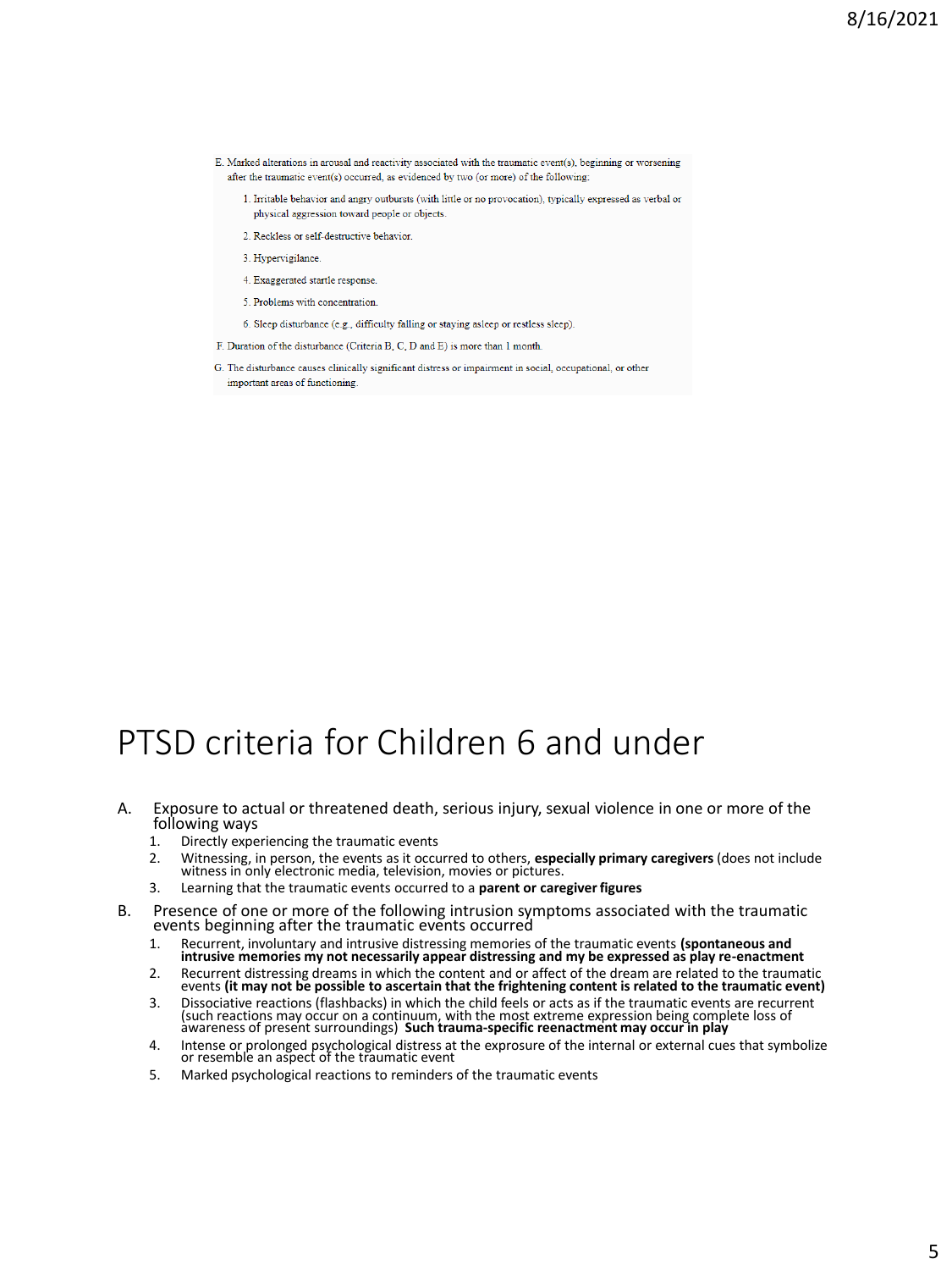- E. Marked alterations in arousal and reactivity associated with the traumatic event(s), beginning or worsening after the traumatic event(s) occurred, as evidenced by two (or more) of the following:
	- 1. Irritable behavior and angry outbursts (with little or no provocation), typically expressed as verbal or physical aggression toward people or objects.
	- 2. Reckless or self-destructive behavior
	- 3. Hypervigilance.
	- 4. Exaggerated startle response.
	- 5. Problems with concentration
	- 6. Sleep disturbance (e.g., difficulty falling or staying asleep or restless sleep).
- F. Duration of the disturbance (Criteria B, C, D and E) is more than 1 month
- G. The disturbance causes clinically significant distress or impairment in social, occupational, or other important areas of functioning.

### PTSD criteria for Children 6 and under

- A. Exposure to actual or threatened death, serious injury, sexual violence in one or more of the following ways
	- 1. Directly experiencing the traumatic events
	- 2. Witnessing, in person, the events as it occurred to others, **especially primary caregivers** (does not include witness in only electronic media, television, movies or pictures.
	- 3. Learning that the traumatic events occurred to a **parent or caregiver figures**
- B. Presence of one or more of the following intrusion symptoms associated with the traumatic events beginning after the traumatic events occurred
	- 1. Recurrent, involuntary and intrusive distressing memories of the traumatic events **(spontaneous and intrusive memories my not necessarily appear distressing and my be expressed as play re-enactment**
	- 2. Recurrent distressing dreams in which the content and or affect of the dream are related to the traumatic events **(it may not be possible to ascertain that the frightening content is related to the traumatic event)**
	- 3. Dissociative reactions (flashbacks) in which the child feels or acts as if the traumatic events are recurrent<br>(such reactions may occur on a continuum, with the most extreme expression being complete loss of<br>awareness o
	- 4. Intense or prolonged psychological distress at the exprosure of the internal or external cues that symbolize or resemble an aspect of the traumatic event
	- 5. Marked psychological reactions to reminders of the traumatic events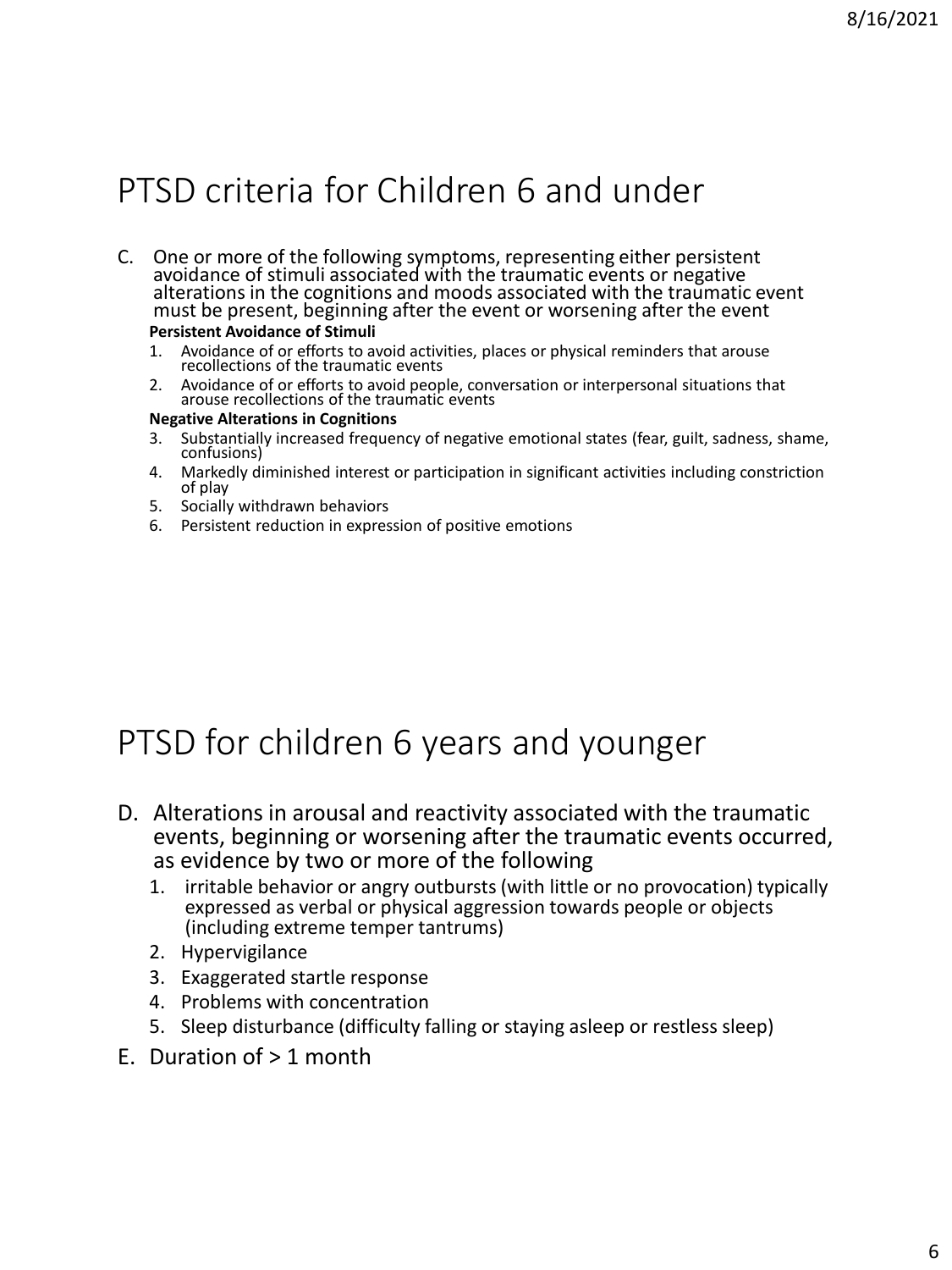# PTSD criteria for Children 6 and under

- C. One or more of the following symptoms, representing either persistent avoidance of stimuli associated with the traumatic events or negative alterations in the cognitions and moods associated with the traumatic event must be present, beginning after the event or worsening after the event **Persistent Avoidance of Stimuli**
	- 1. Avoidance of or efforts to avoid activities, places or physical reminders that arouse recollections of the traumatic events
	- 2. Avoidance of or efforts to avoid people, conversation or interpersonal situations that arouse recollections of the traumatic events

### **Negative Alterations in Cognitions**

- 3. Substantially increased frequency of negative emotional states (fear, guilt, sadness, shame, confusions)
- 4. Markedly diminished interest or participation in significant activities including constriction of play
- 5. Socially withdrawn behaviors
- 6. Persistent reduction in expression of positive emotions

### PTSD for children 6 years and younger

- D. Alterations in arousal and reactivity associated with the traumatic events, beginning or worsening after the traumatic events occurred, as evidence by two or more of the following
	- 1. irritable behavior or angry outbursts (with little or no provocation) typically expressed as verbal or physical aggression towards people or objects (including extreme temper tantrums)
	- 2. Hypervigilance
	- 3. Exaggerated startle response
	- 4. Problems with concentration
	- 5. Sleep disturbance (difficulty falling or staying asleep or restless sleep)
- E. Duration of  $> 1$  month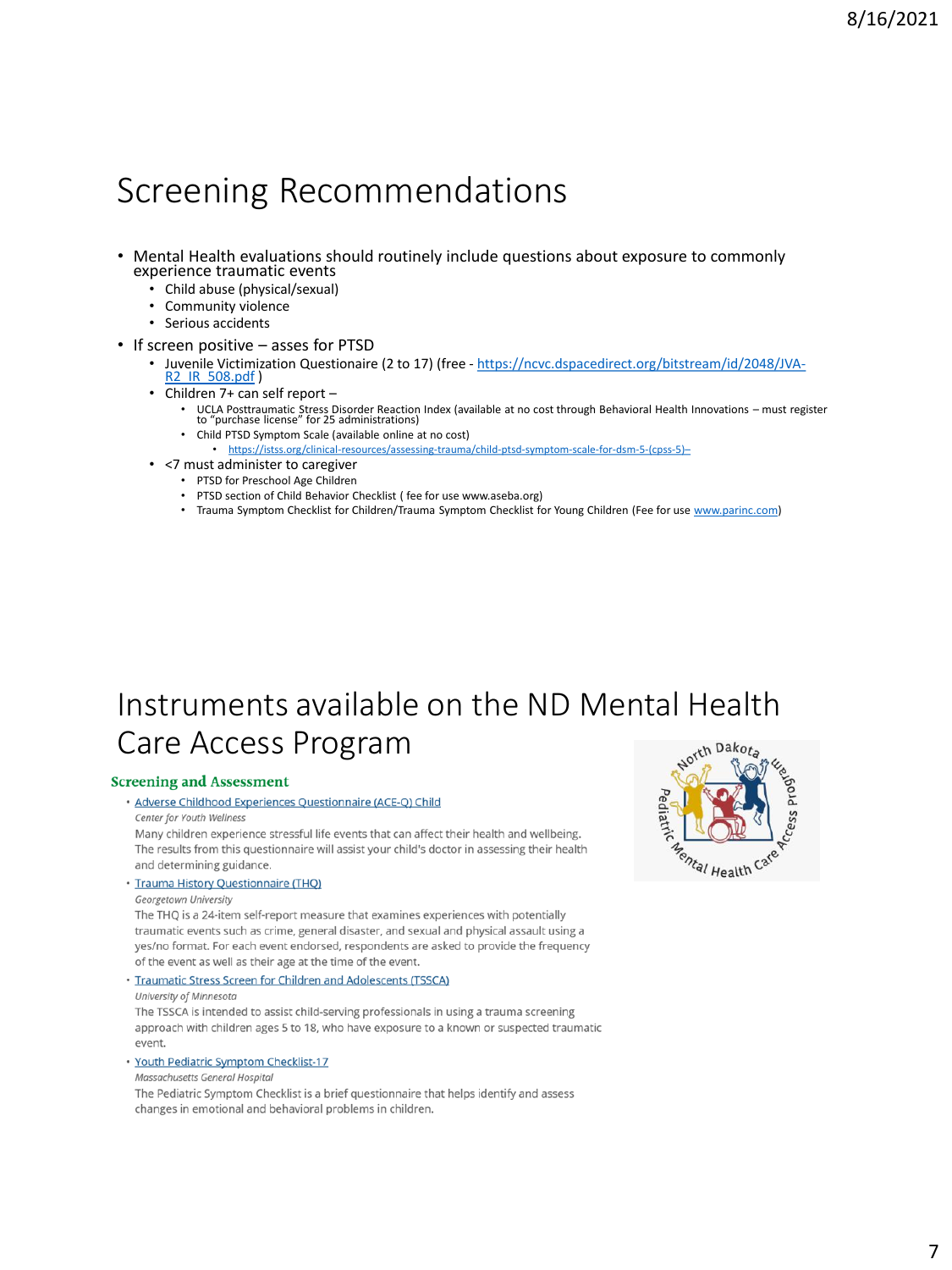### Screening Recommendations

- Mental Health evaluations should routinely include questions about exposure to commonly experience traumatic events
	- Child abuse (physical/sexual)
	- Community violence
	- Serious accidents
- If screen positive asses for PTSD
	- Juvenile Victimization Questionaire (2 to 17) (free [https://ncvc.dspacedirect.org/bitstream/id/2048/JVA-](https://ncvc.dspacedirect.org/bitstream/id/2048/JVA-R2_IR_508.pdf)R2\_IR\_508.pdf )
	- Children 7+ can self report
		- UCLA Posttraumatic Stress Disorder Reaction Index (available at no cost through Behavioral Health Innovations must register to "purchase license" for 25 administrations)
		- Child PTSD Symptom Scale (available online at no cost) • [https://istss.org/clinical-resources/assessing-trauma/child-ptsd-symptom-scale-for-dsm-5-\(cpss-5\)](https://istss.org/clinical-resources/assessing-trauma/child-ptsd-symptom-scale-for-dsm-5-(cpss-5)–)-
	- <7 must administer to caregiver
		- PTSD for Preschool Age Children
		- PTSD section of Child Behavior Checklist ( fee for use www.aseba.org)
		- Trauma Symptom Checklist for Children/Trauma Symptom Checklist for Young Children (Fee for use [www.parinc.com](http://www.parinc.com/))

### Instruments available on the ND Mental Health Care Access ProgramDakota

#### **Screening and Assessment**

· Adverse Childhood Experiences Questionnaire (ACE-Q) Child Center for Youth Wellness

Many children experience stressful life events that can affect their health and wellbeing. The results from this questionnaire will assist your child's doctor in assessing their health and determining guidance.

· Trauma History Questionnaire (THQ)

Georgetown University

The THQ is a 24-item self-report measure that examines experiences with potentially traumatic events such as crime, general disaster, and sexual and physical assault using a yes/no format. For each event endorsed, respondents are asked to provide the frequency of the event as well as their age at the time of the event.

· Traumatic Stress Screen for Children and Adolescents (TSSCA)

University of Minnesota

The TSSCA is intended to assist child-serving professionals in using a trauma screening approach with children ages 5 to 18, who have exposure to a known or suspected traumatic event.

· Youth Pediatric Symptom Checklist-17

Massachusetts General Hospital

The Pediatric Symptom Checklist is a brief questionnaire that helps identify and assess changes in emotional and behavioral problems in children.

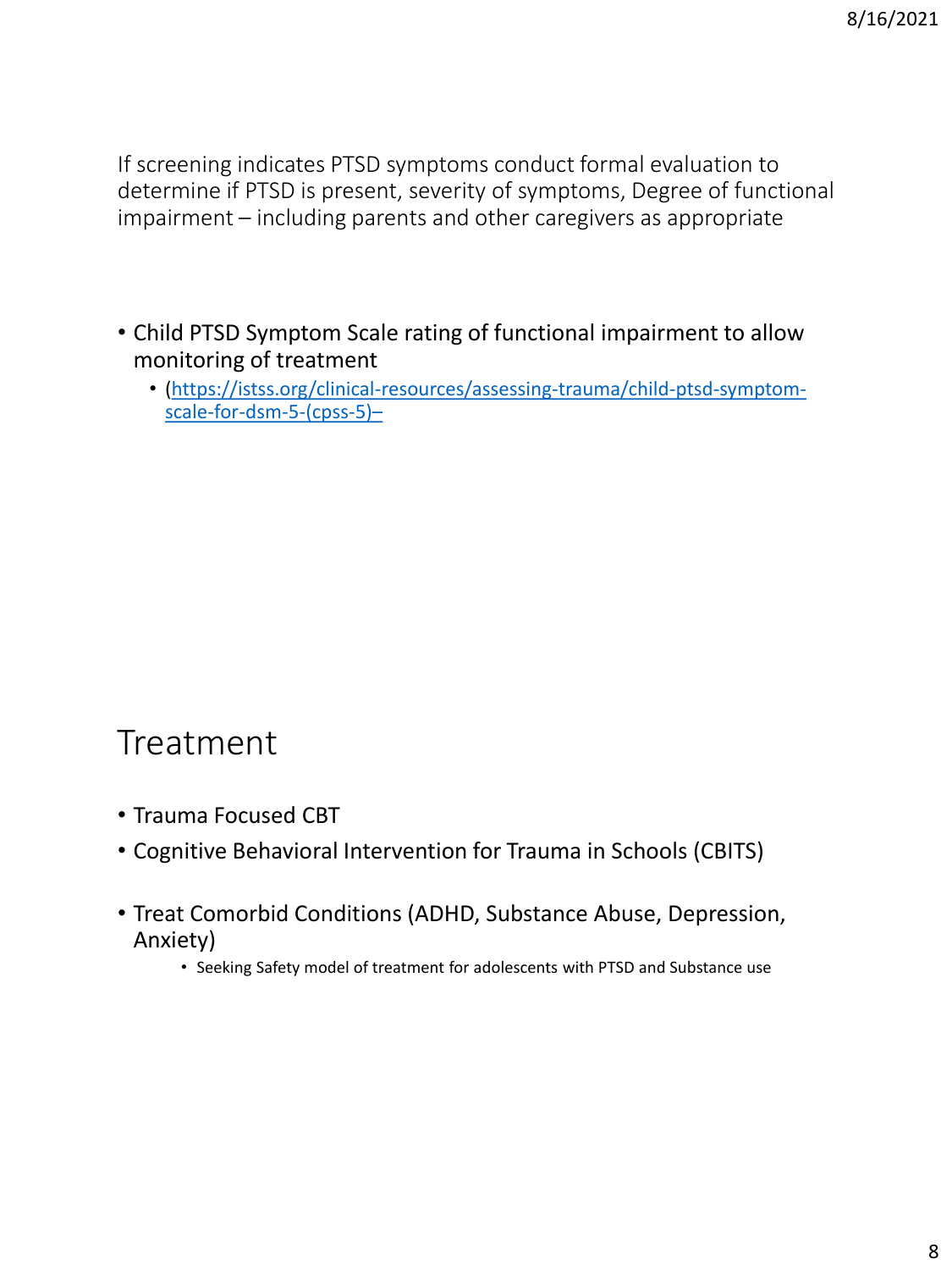If screening indicates PTSD symptoms conduct formal evaluation to determine if PTSD is present, severity of symptoms, Degree of functional impairment – including parents and other caregivers as appropriate

- Child PTSD Symptom Scale rating of functional impairment to allow monitoring of treatment
	- [\(https://istss.org/clinical-resources/assessing-trauma/child-ptsd-symptom](https://istss.org/clinical-resources/assessing-trauma/child-ptsd-symptom-scale-for-dsm-5-(cpss-5)–)scale-for-dsm-5-(cpss-5)–

### Treatment

- Trauma Focused CBT
- Cognitive Behavioral Intervention for Trauma in Schools (CBITS)
- Treat Comorbid Conditions (ADHD, Substance Abuse, Depression, Anxiety)
	- Seeking Safety model of treatment for adolescents with PTSD and Substance use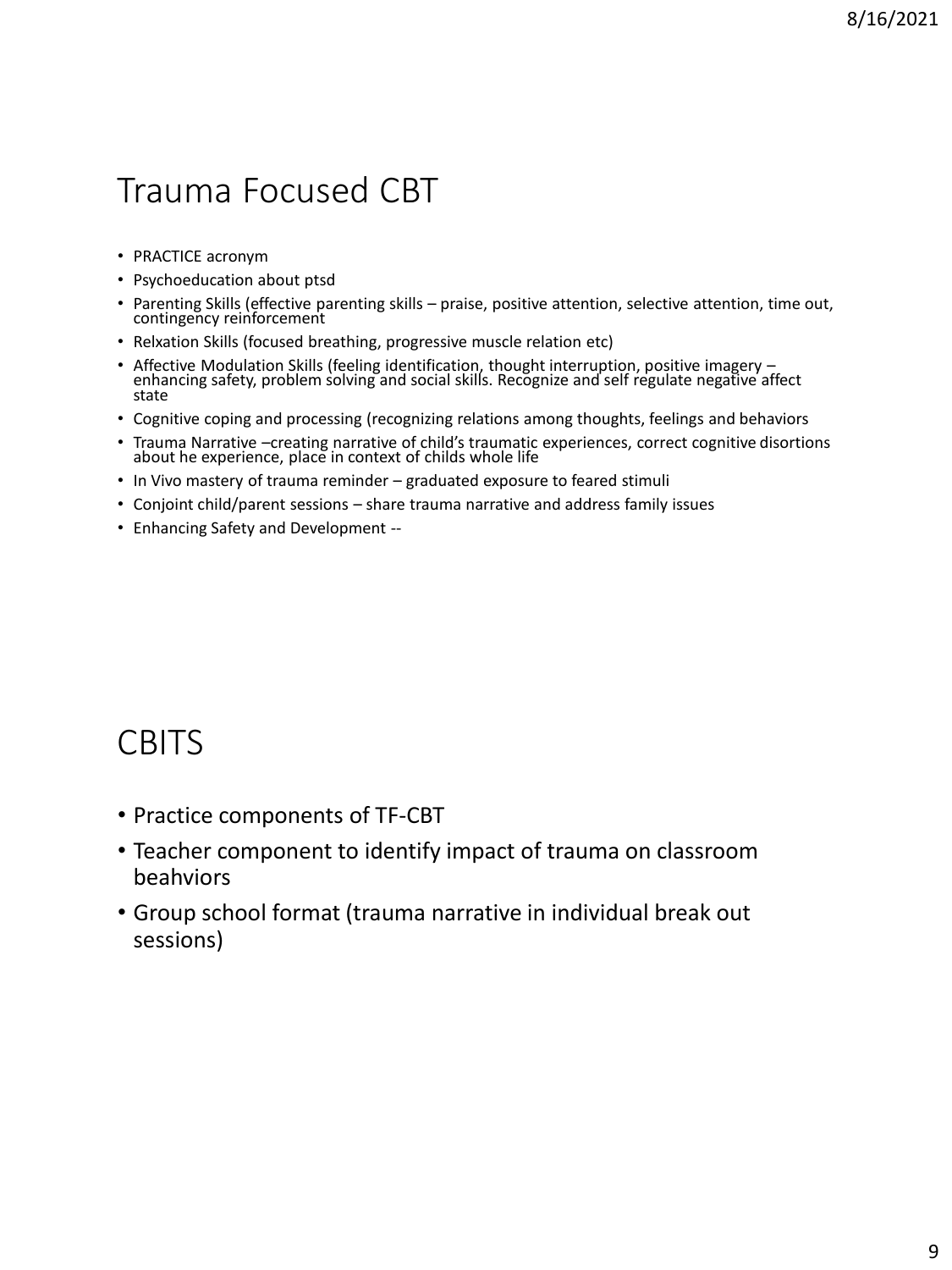## Trauma Focused CBT

- PRACTICE acronym
- Psychoeducation about ptsd
- Parenting Skills (effective parenting skills praise, positive attention, selective attention, time out, contingency reinforcement
- Relxation Skills (focused breathing, progressive muscle relation etc)
- Affective Modulation Skills (feeling identification, thought interruption, positive imagery enhancing safety, problem solving and social skills. Recognize and self regulate negative affect state
- Cognitive coping and processing (recognizing relations among thoughts, feelings and behaviors
- Trauma Narrative –creating narrative of child's traumatic experiences, correct cognitive disortions about he experience, place in context of childs whole life
- In Vivo mastery of trauma reminder graduated exposure to feared stimuli
- Conjoint child/parent sessions share trauma narrative and address family issues
- Enhancing Safety and Development --

### **CBITS**

- Practice components of TF-CBT
- Teacher component to identify impact of trauma on classroom beahviors
- Group school format (trauma narrative in individual break out sessions)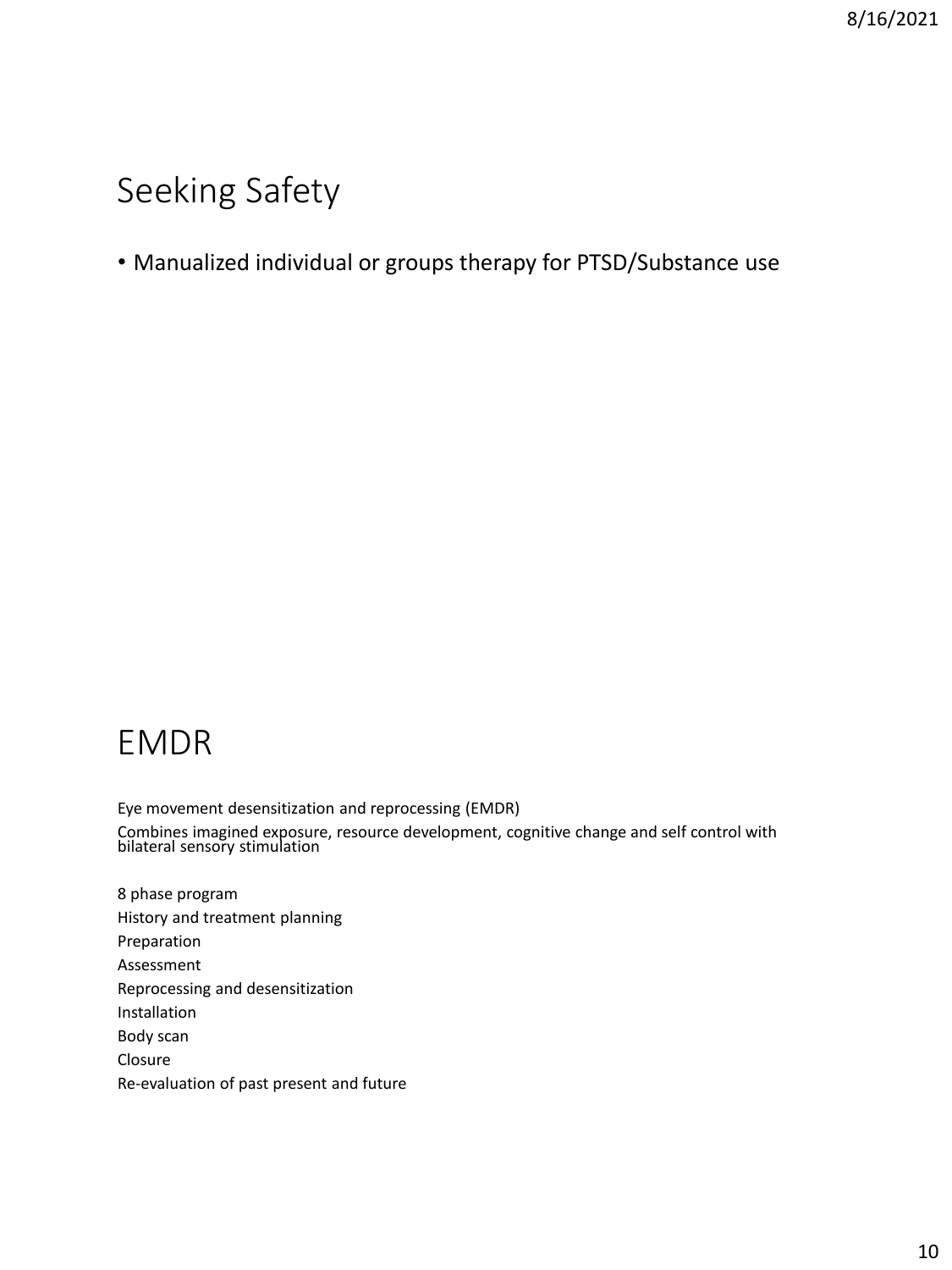### Seeking Safety

### • Manualized individual or groups therapy for PTSD/Substance use

### EMDR

Eye movement desensitization and reprocessing (EMDR) Combines imagined exposure, resource development, cognitive change and self control with bilateral sensory stimulation

8 phase program History and treatment planning Preparation Assessment Reprocessing and desensitization Installation Body scan Closure Re-evaluation of past present and future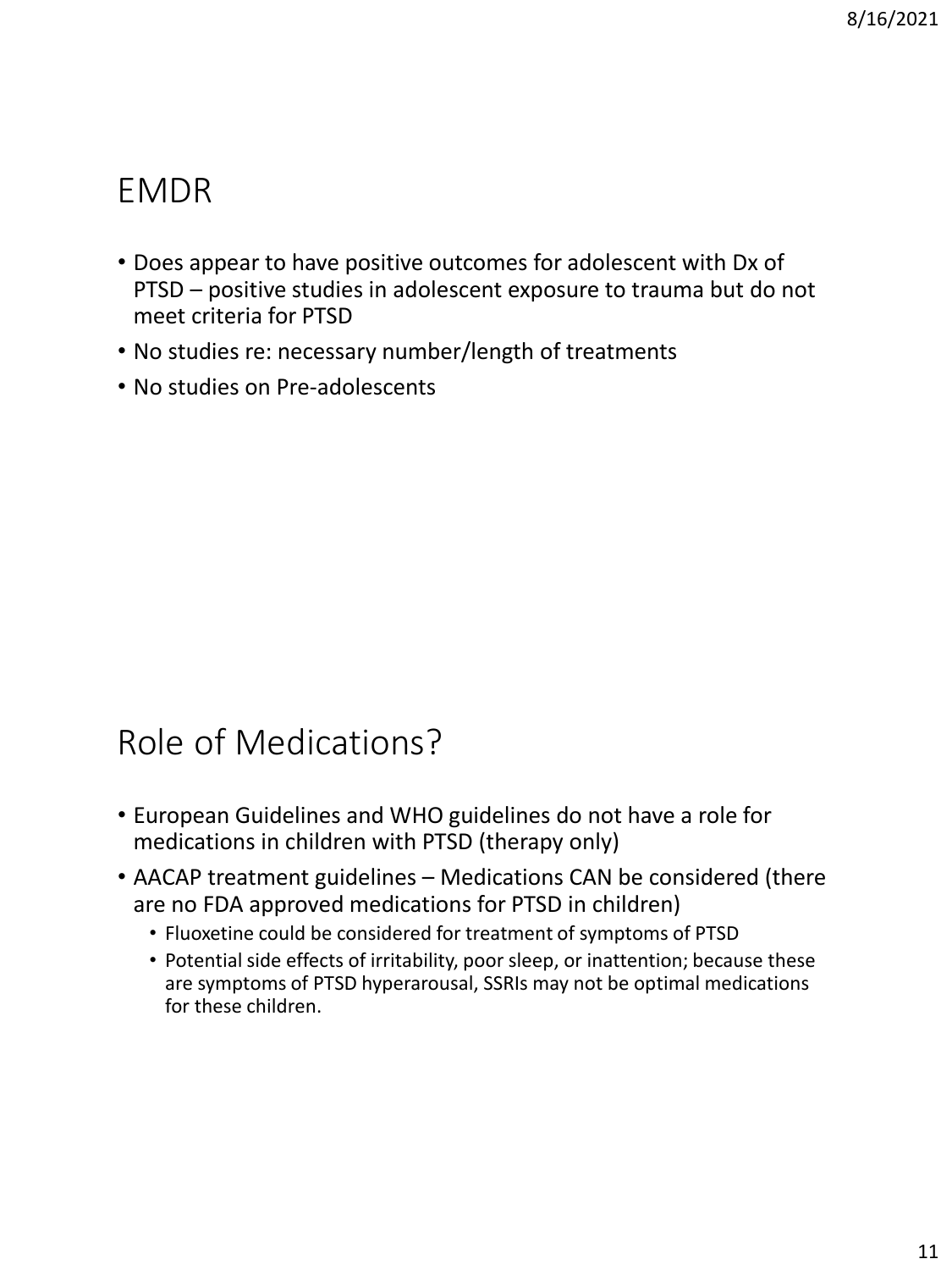## EMDR

- Does appear to have positive outcomes for adolescent with Dx of PTSD – positive studies in adolescent exposure to trauma but do not meet criteria for PTSD
- No studies re: necessary number/length of treatments
- No studies on Pre-adolescents

## Role of Medications?

- European Guidelines and WHO guidelines do not have a role for medications in children with PTSD (therapy only)
- AACAP treatment guidelines Medications CAN be considered (there are no FDA approved medications for PTSD in children)
	- Fluoxetine could be considered for treatment of symptoms of PTSD
	- Potential side effects of irritability, poor sleep, or inattention; because these are symptoms of PTSD hyperarousal, SSRIs may not be optimal medications for these children.